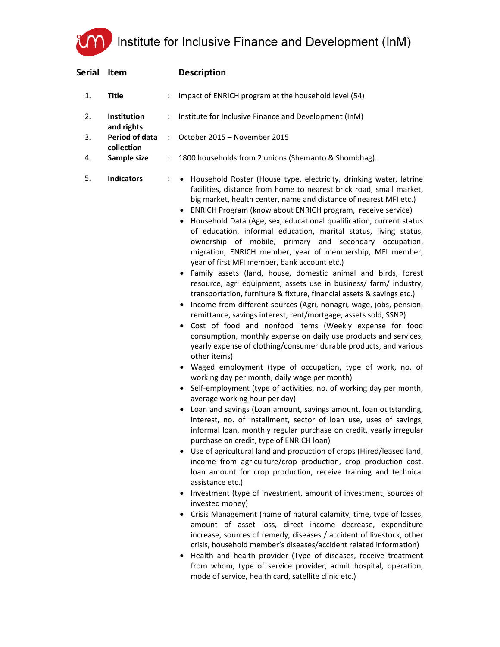Institute for Inclusive Finance and Development (InM)

| Serial | Item                                        |   | <b>Description</b>                                                                                                                                                                                                                                                                                                                                                                                                                                                                                                                                                                                                                                                                                                                                                                                                                                                                                                                                                                                                                                                                                                                                                                                                                                                                                                                                                                                                                                                                                                                                                                                                                                                                                                                                                                                                                                                                                                                                                                                                                                                                                                                                                                                                                                                                                                                                                                                                   |
|--------|---------------------------------------------|---|----------------------------------------------------------------------------------------------------------------------------------------------------------------------------------------------------------------------------------------------------------------------------------------------------------------------------------------------------------------------------------------------------------------------------------------------------------------------------------------------------------------------------------------------------------------------------------------------------------------------------------------------------------------------------------------------------------------------------------------------------------------------------------------------------------------------------------------------------------------------------------------------------------------------------------------------------------------------------------------------------------------------------------------------------------------------------------------------------------------------------------------------------------------------------------------------------------------------------------------------------------------------------------------------------------------------------------------------------------------------------------------------------------------------------------------------------------------------------------------------------------------------------------------------------------------------------------------------------------------------------------------------------------------------------------------------------------------------------------------------------------------------------------------------------------------------------------------------------------------------------------------------------------------------------------------------------------------------------------------------------------------------------------------------------------------------------------------------------------------------------------------------------------------------------------------------------------------------------------------------------------------------------------------------------------------------------------------------------------------------------------------------------------------------|
| 1.     | <b>Title</b>                                |   | Impact of ENRICH program at the household level (54)                                                                                                                                                                                                                                                                                                                                                                                                                                                                                                                                                                                                                                                                                                                                                                                                                                                                                                                                                                                                                                                                                                                                                                                                                                                                                                                                                                                                                                                                                                                                                                                                                                                                                                                                                                                                                                                                                                                                                                                                                                                                                                                                                                                                                                                                                                                                                                 |
| 2.     | Institution<br>and rights                   |   | Institute for Inclusive Finance and Development (InM)                                                                                                                                                                                                                                                                                                                                                                                                                                                                                                                                                                                                                                                                                                                                                                                                                                                                                                                                                                                                                                                                                                                                                                                                                                                                                                                                                                                                                                                                                                                                                                                                                                                                                                                                                                                                                                                                                                                                                                                                                                                                                                                                                                                                                                                                                                                                                                |
| 3.     | Period of data<br>collection<br>Sample size | ÷ | October 2015 - November 2015                                                                                                                                                                                                                                                                                                                                                                                                                                                                                                                                                                                                                                                                                                                                                                                                                                                                                                                                                                                                                                                                                                                                                                                                                                                                                                                                                                                                                                                                                                                                                                                                                                                                                                                                                                                                                                                                                                                                                                                                                                                                                                                                                                                                                                                                                                                                                                                         |
| 4.     |                                             | ÷ | 1800 households from 2 unions (Shemanto & Shombhag).                                                                                                                                                                                                                                                                                                                                                                                                                                                                                                                                                                                                                                                                                                                                                                                                                                                                                                                                                                                                                                                                                                                                                                                                                                                                                                                                                                                                                                                                                                                                                                                                                                                                                                                                                                                                                                                                                                                                                                                                                                                                                                                                                                                                                                                                                                                                                                 |
| 5.     | <b>Indicators</b>                           |   | Household Roster (House type, electricity, drinking water, latrine<br>facilities, distance from home to nearest brick road, small market,<br>big market, health center, name and distance of nearest MFI etc.)<br>ENRICH Program (know about ENRICH program, receive service)<br>Household Data (Age, sex, educational qualification, current status<br>of education, informal education, marital status, living status,<br>ownership of mobile, primary and secondary occupation,<br>migration, ENRICH member, year of membership, MFI member,<br>year of first MFI member, bank account etc.)<br>Family assets (land, house, domestic animal and birds, forest<br>resource, agri equipment, assets use in business/ farm/ industry,<br>transportation, furniture & fixture, financial assets & savings etc.)<br>Income from different sources (Agri, nonagri, wage, jobs, pension,<br>remittance, savings interest, rent/mortgage, assets sold, SSNP)<br>Cost of food and nonfood items (Weekly expense for food<br>consumption, monthly expense on daily use products and services,<br>yearly expense of clothing/consumer durable products, and various<br>other items)<br>• Waged employment (type of occupation, type of work, no. of<br>working day per month, daily wage per month)<br>• Self-employment (type of activities, no. of working day per month,<br>average working hour per day)<br>Loan and savings (Loan amount, savings amount, loan outstanding,<br>interest, no. of installment, sector of loan use, uses of savings,<br>informal loan, monthly regular purchase on credit, yearly irregular<br>purchase on credit, type of ENRICH loan)<br>Use of agricultural land and production of crops (Hired/leased land,<br>٠<br>income from agriculture/crop production, crop production cost,<br>loan amount for crop production, receive training and technical<br>assistance etc.)<br>Investment (type of investment, amount of investment, sources of<br>invested money)<br>Crisis Management (name of natural calamity, time, type of losses,<br>amount of asset loss, direct income decrease, expenditure<br>increase, sources of remedy, diseases / accident of livestock, other<br>crisis, household member's diseases/accident related information)<br>Health and health provider (Type of diseases, receive treatment<br>from whom, type of service provider, admit hospital, operation, |

mode of service, health card, satellite clinic etc.)